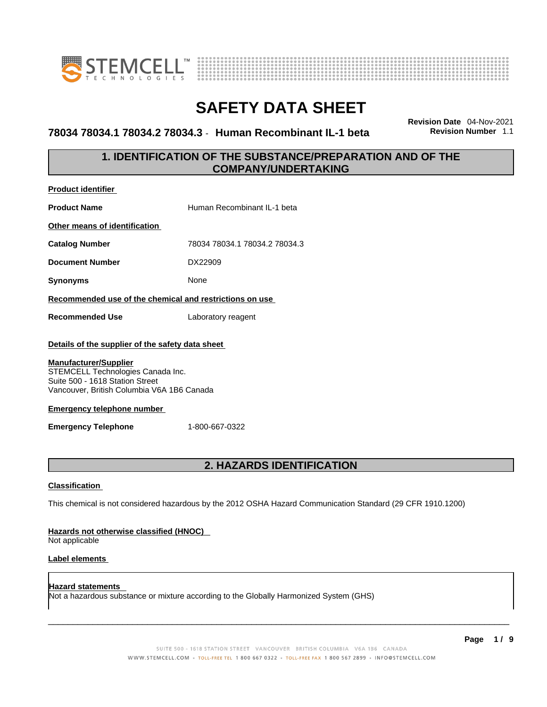



### **78034 78034.1 78034.2 78034.3** - **Human Recombinant IL-1 beta Revision Number** 1.1

**Revision Date** 04-Nov-2021

### **1. IDENTIFICATION OF THE SUBSTANCE/PREPARATION AND OF THE COMPANY/UNDERTAKING**

| <b>Product identifier</b>                                                                                                                          |                               |
|----------------------------------------------------------------------------------------------------------------------------------------------------|-------------------------------|
| <b>Product Name</b>                                                                                                                                | Human Recombinant II-1 beta   |
| Other means of identification                                                                                                                      |                               |
| <b>Catalog Number</b>                                                                                                                              | 78034 78034.1 78034.2 78034.3 |
| <b>Document Number</b>                                                                                                                             | DX22909                       |
| <b>Synonyms</b>                                                                                                                                    | <b>None</b>                   |
| Recommended use of the chemical and restrictions on use                                                                                            |                               |
| <b>Recommended Use</b>                                                                                                                             | Laboratory reagent            |
| Details of the supplier of the safety data sheet                                                                                                   |                               |
| <b>Manufacturer/Supplier</b><br>STEMCELL Technologies Canada Inc.<br>Suite 500 - 1618 Station Street<br>Vancouver, British Columbia V6A 1B6 Canada |                               |
| <b>Emergency telephone number</b>                                                                                                                  |                               |
| <b>Emergency Telephone</b>                                                                                                                         | 1-800-667-0322                |
|                                                                                                                                                    |                               |

### **2. HAZARDS IDENTIFICATION**

### **Classification**

This chemical is not considered hazardous by the 2012 OSHA Hazard Communication Standard (29 CFR 1910.1200)

### **Hazards not otherwise classified (HNOC)**

Not applicable

### **Label elements**

**Hazard statements**  Not a hazardous substance or mixture according to the Globally Harmonized System (GHS)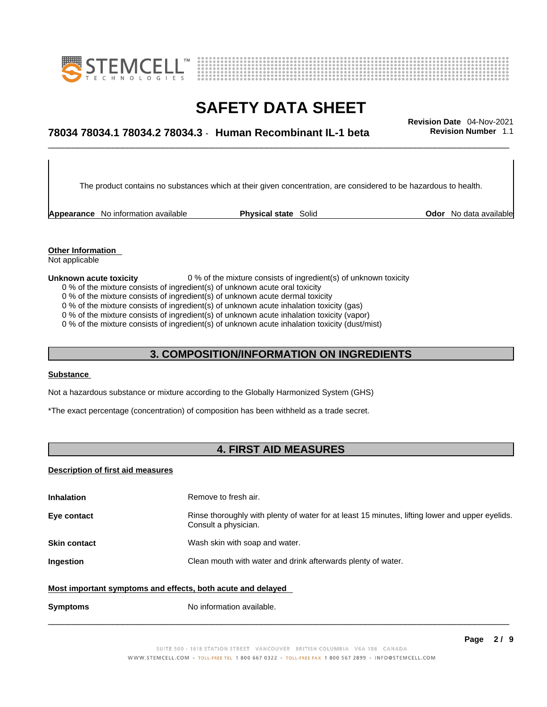



## \_\_\_\_\_\_\_\_\_\_\_\_\_\_\_\_\_\_\_\_\_\_\_\_\_\_\_\_\_\_\_\_\_\_\_\_\_\_\_\_\_\_\_\_\_\_\_\_\_\_\_\_\_\_\_\_\_\_\_\_\_\_\_\_\_\_\_\_\_\_\_\_\_\_\_\_\_\_\_\_\_\_\_\_\_\_\_\_\_\_\_\_\_ **Revision Date** 04-Nov-2021 **78034 78034.1 78034.2 78034.3** - **Human Recombinant IL-1 beta Revision Number** 1.1

The product contains no substances which at their given concentration, are considered to be hazardous to health.

**Appearance** No information available **Physical state** Solid **Odor** No data available

**Other Information**  Not applicable

- **Unknown acute toxicity** 0 % of the mixture consists of ingredient(s) of unknown toxicity 0 % of the mixture consists of ingredient(s) of unknown acute oral toxicity
	-
	- 0 % of the mixture consists of ingredient(s) of unknown acute dermal toxicity

0 % of the mixture consists of ingredient(s) of unknown acute inhalation toxicity (gas)

0 % of the mixture consists of ingredient(s) of unknown acute inhalation toxicity (vapor)

0 % of the mixture consists of ingredient(s) of unknown acute inhalation toxicity (dust/mist)

### **3. COMPOSITION/INFORMATION ON INGREDIENTS**

### **Substance**

Not a hazardous substance or mixture according to the Globally Harmonized System (GHS)

\*The exact percentage (concentration) of composition has been withheld as a trade secret.

### **4. FIRST AID MEASURES**

### **Description of first aid measures**

| <b>Inhalation</b>                                           | Remove to fresh air.                                                                                                    |
|-------------------------------------------------------------|-------------------------------------------------------------------------------------------------------------------------|
| Eye contact                                                 | Rinse thoroughly with plenty of water for at least 15 minutes, lifting lower and upper eyelids.<br>Consult a physician. |
| <b>Skin contact</b>                                         | Wash skin with soap and water.                                                                                          |
| Ingestion                                                   | Clean mouth with water and drink afterwards plenty of water.                                                            |
| Most important symptoms and effects, both acute and delayed |                                                                                                                         |
| <b>Symptoms</b>                                             | No information available.                                                                                               |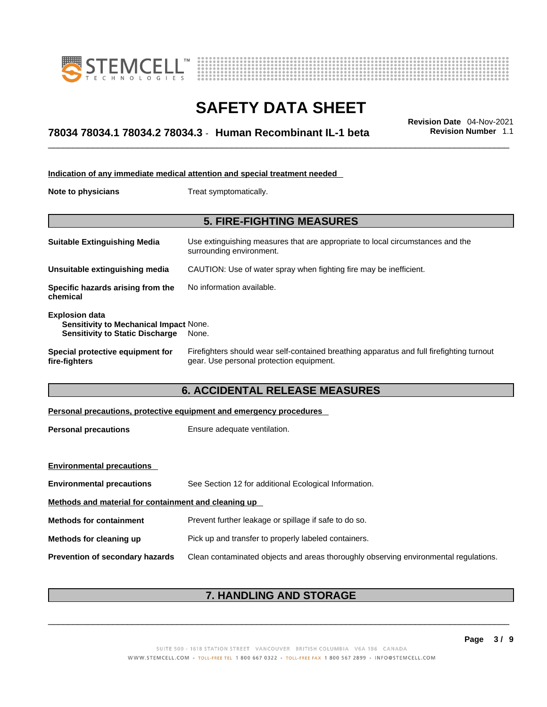



## \_\_\_\_\_\_\_\_\_\_\_\_\_\_\_\_\_\_\_\_\_\_\_\_\_\_\_\_\_\_\_\_\_\_\_\_\_\_\_\_\_\_\_\_\_\_\_\_\_\_\_\_\_\_\_\_\_\_\_\_\_\_\_\_\_\_\_\_\_\_\_\_\_\_\_\_\_\_\_\_\_\_\_\_\_\_\_\_\_\_\_\_\_ **Revision Date** 04-Nov-2021 **78034 78034.1 78034.2 78034.3** - **Human Recombinant IL-1 beta Revision Number** 1.1

| Indication of any immediate medical attention and special treatment needed                                       |                                                                                                                                       |  |
|------------------------------------------------------------------------------------------------------------------|---------------------------------------------------------------------------------------------------------------------------------------|--|
| Note to physicians                                                                                               | Treat symptomatically.                                                                                                                |  |
| <b>5. FIRE-FIGHTING MEASURES</b>                                                                                 |                                                                                                                                       |  |
| <b>Suitable Extinguishing Media</b>                                                                              | Use extinguishing measures that are appropriate to local circumstances and the<br>surrounding environment.                            |  |
| Unsuitable extinguishing media                                                                                   | CAUTION: Use of water spray when fighting fire may be inefficient.                                                                    |  |
| Specific hazards arising from the<br>chemical                                                                    | No information available.                                                                                                             |  |
| <b>Explosion data</b><br><b>Sensitivity to Mechanical Impact None.</b><br><b>Sensitivity to Static Discharge</b> | None.                                                                                                                                 |  |
| Special protective equipment for<br>fire-fighters                                                                | Firefighters should wear self-contained breathing apparatus and full firefighting turnout<br>gear. Use personal protection equipment. |  |
|                                                                                                                  |                                                                                                                                       |  |

### **6. ACCIDENTAL RELEASE MEASURES**

| Personal precautions, protective equipment and emergency procedures |  |
|---------------------------------------------------------------------|--|
|---------------------------------------------------------------------|--|

| <b>Personal precautions</b> | Ensure adequate ventilation. |
|-----------------------------|------------------------------|
|                             |                              |

| <b>Environmental precautions</b>                     |                                                                                      |
|------------------------------------------------------|--------------------------------------------------------------------------------------|
| <b>Environmental precautions</b>                     | See Section 12 for additional Ecological Information.                                |
| Methods and material for containment and cleaning up |                                                                                      |
| <b>Methods for containment</b>                       | Prevent further leakage or spillage if safe to do so.                                |
| Methods for cleaning up                              | Pick up and transfer to properly labeled containers.                                 |
| <b>Prevention of secondary hazards</b>               | Clean contaminated objects and areas thoroughly observing environmental regulations. |

### **7. HANDLING AND STORAGE**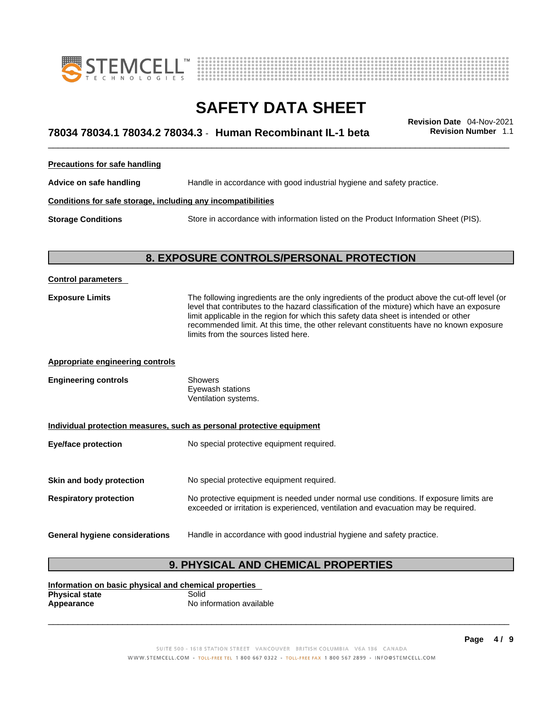



## \_\_\_\_\_\_\_\_\_\_\_\_\_\_\_\_\_\_\_\_\_\_\_\_\_\_\_\_\_\_\_\_\_\_\_\_\_\_\_\_\_\_\_\_\_\_\_\_\_\_\_\_\_\_\_\_\_\_\_\_\_\_\_\_\_\_\_\_\_\_\_\_\_\_\_\_\_\_\_\_\_\_\_\_\_\_\_\_\_\_\_\_\_ **Revision Date** 04-Nov-2021 **78034 78034.1 78034.2 78034.3** - **Human Recombinant IL-1 beta Revision Number** 1.1

**Precautions for safe handling**

**Advice on safe handling** Handle in accordance with good industrial hygiene and safety practice.

### **Conditions for safe storage, including any incompatibilities**

**Storage Conditions** Store in accordance with information listed on the Product Information Sheet (PIS).

### **8. EXPOSURE CONTROLS/PERSONAL PROTECTION**

| <b>Control parameters</b>                                             |                                                                                                                                                                                                                                                                                                                                                                                                                        |  |
|-----------------------------------------------------------------------|------------------------------------------------------------------------------------------------------------------------------------------------------------------------------------------------------------------------------------------------------------------------------------------------------------------------------------------------------------------------------------------------------------------------|--|
| <b>Exposure Limits</b>                                                | The following ingredients are the only ingredients of the product above the cut-off level (or<br>level that contributes to the hazard classification of the mixture) which have an exposure<br>limit applicable in the region for which this safety data sheet is intended or other<br>recommended limit. At this time, the other relevant constituents have no known exposure<br>limits from the sources listed here. |  |
| <b>Appropriate engineering controls</b>                               |                                                                                                                                                                                                                                                                                                                                                                                                                        |  |
| <b>Engineering controls</b>                                           | <b>Showers</b><br>Eyewash stations<br>Ventilation systems.                                                                                                                                                                                                                                                                                                                                                             |  |
| Individual protection measures, such as personal protective equipment |                                                                                                                                                                                                                                                                                                                                                                                                                        |  |
| <b>Eye/face protection</b>                                            | No special protective equipment required.                                                                                                                                                                                                                                                                                                                                                                              |  |
| Skin and body protection                                              | No special protective equipment required.                                                                                                                                                                                                                                                                                                                                                                              |  |
| <b>Respiratory protection</b>                                         | No protective equipment is needed under normal use conditions. If exposure limits are<br>exceeded or irritation is experienced, ventilation and evacuation may be required.                                                                                                                                                                                                                                            |  |
| General hygiene considerations                                        | Handle in accordance with good industrial hygiene and safety practice.                                                                                                                                                                                                                                                                                                                                                 |  |

### **9. PHYSICAL AND CHEMICAL PROPERTIES**

**Information on basic physical and chemical properties Physical state** Solid<br> **Appearance** No in **Appearance** No information available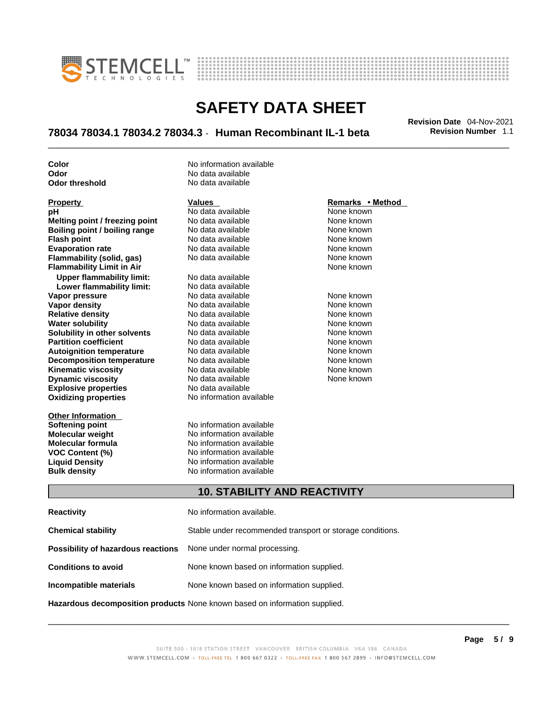



## \_\_\_\_\_\_\_\_\_\_\_\_\_\_\_\_\_\_\_\_\_\_\_\_\_\_\_\_\_\_\_\_\_\_\_\_\_\_\_\_\_\_\_\_\_\_\_\_\_\_\_\_\_\_\_\_\_\_\_\_\_\_\_\_\_\_\_\_\_\_\_\_\_\_\_\_\_\_\_\_\_\_\_\_\_\_\_\_\_\_\_\_\_ **Revision Date** 04-Nov-2021 **78034 78034.1 78034.2 78034.3** - **Human Recombinant IL-1 beta Revision Number** 1.1

**Odor No data available**<br> **Odor threshold No data available Odor** threshold

**Explosive properties** No data available<br> **Oxidizing properties** No information available **pH**<br>
No data available Melting point / freezing point / No data available Mone known **Melting point / freezing point** No data available None known<br> **Boiling point / boiling range** No data available None known **Boiling point / boiling range** No data available None known<br> **Flash noint** None known<br>
No data available None Known **Flash point**<br> **Flash point**<br> **Fvanoration rate** None Known<br>
No data available None Known<br>
None known **Evaporation rate Flammability (solid, gas)** No data available None Known None known **Flammability Limit in Air None known None known Upper flammability limit:** No data available **Lower flammability limit:** No data available **Vapor pressure** The Society No data available and the None known<br> **Vapor density** No data available None known **Vapor density** No data available None known **Relative density 1988 Control and Social Article Relative density None known<br>
<b>Water solubility** No data available None known **Water solubility Solubility in other solvents** No data available None known **Partition coefficient No data available None known Autoignition temperature** No data available None known<br> **Decomposition temperature** No data available None known **Decomposition temperature** No data available **None known**<br>
No data available **None known**<br>
None known **Kinematic viscosity** No data available<br> **Dynamic viscosity** No data available **Dynamic viscosity No data available None known** 

**Other Information Softening point**<br> **Molecular weight**<br> **Molecular weight**<br> **Molecular weight**<br> **Molecular weight** 

**Color Color Color No** information available

**No information available** 

**Molecular weight Molecular is a structure of the No information available Molecular formula Molecular System Molecular formula** No information available **VOC Content (%)** No information available **Liquid Density** No information available **Bulk density No information available** 

#### **Property Remarks •** Method **Values Remarks** •**Method**

### **10. STABILITY AND REACTIVITY**

| <b>Reactivity</b>                                                       | No information available.                                                  |
|-------------------------------------------------------------------------|----------------------------------------------------------------------------|
| <b>Chemical stability</b>                                               | Stable under recommended transport or storage conditions.                  |
| <b>Possibility of hazardous reactions</b> None under normal processing. |                                                                            |
| <b>Conditions to avoid</b>                                              | None known based on information supplied.                                  |
| Incompatible materials                                                  | None known based on information supplied.                                  |
|                                                                         | Hazardous decomposition products None known based on information supplied. |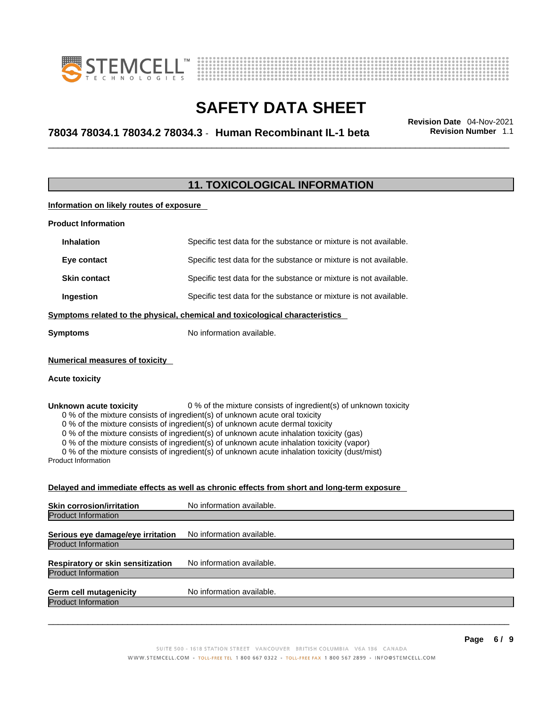



## \_\_\_\_\_\_\_\_\_\_\_\_\_\_\_\_\_\_\_\_\_\_\_\_\_\_\_\_\_\_\_\_\_\_\_\_\_\_\_\_\_\_\_\_\_\_\_\_\_\_\_\_\_\_\_\_\_\_\_\_\_\_\_\_\_\_\_\_\_\_\_\_\_\_\_\_\_\_\_\_\_\_\_\_\_\_\_\_\_\_\_\_\_ **Revision Date** 04-Nov-2021 **78034 78034.1 78034.2 78034.3** - **Human Recombinant IL-1 beta Revision Number** 1.1

### **11. TOXICOLOGICAL INFORMATION**

**Information on likely routes of exposure**

| <b>Product Information</b> |                                                                   |
|----------------------------|-------------------------------------------------------------------|
| <b>Inhalation</b>          | Specific test data for the substance or mixture is not available. |
| Eye contact                | Specific test data for the substance or mixture is not available. |
| <b>Skin contact</b>        | Specific test data for the substance or mixture is not available. |
| Ingestion                  | Specific test data for the substance or mixture is not available. |
|                            |                                                                   |

**Symptoms related to the physical,chemical and toxicological characteristics**

**Symptoms** No information available.

### **Numerical measures of toxicity**

### **Acute toxicity**

**Unknown acute toxicity** 0 % of the mixture consists of ingredient(s) of unknown toxicity

0 % of the mixture consists of ingredient(s) of unknown acute oral toxicity

0 % of the mixture consists of ingredient(s) of unknown acute dermal toxicity

0 % of the mixture consists of ingredient(s) of unknown acute inhalation toxicity (gas)

0 % of the mixture consists of ingredient(s) of unknown acute inhalation toxicity (vapor)

0 % of the mixture consists of ingredient(s) of unknown acute inhalation toxicity (dust/mist)

Product Information

### **Delayed and immediate effects as well as chronic effects from short and long-term exposure**

| <b>Skin corrosion/irritation</b>                                       | No information available. |
|------------------------------------------------------------------------|---------------------------|
| <b>Product Information</b>                                             |                           |
| Serious eye damage/eye irritation                                      | No information available. |
| <b>Product Information</b>                                             |                           |
| <b>Respiratory or skin sensitization</b><br><b>Product Information</b> | No information available. |
|                                                                        |                           |
| <b>Germ cell mutagenicity</b><br><b>Product Information</b>            | No information available. |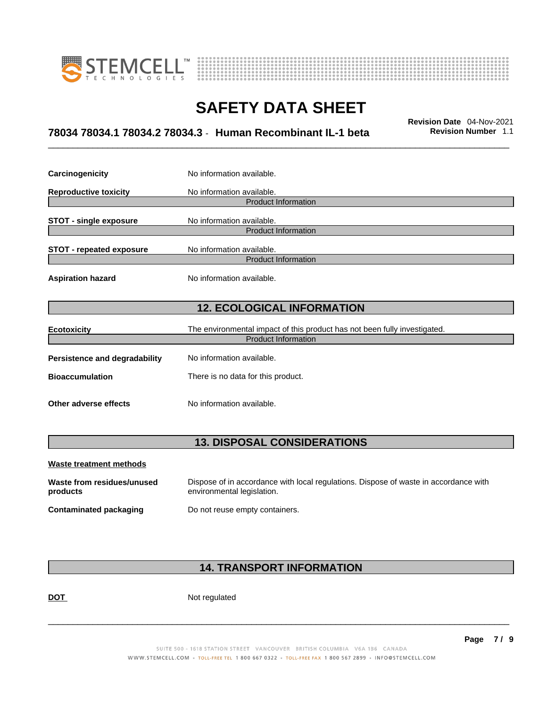



## \_\_\_\_\_\_\_\_\_\_\_\_\_\_\_\_\_\_\_\_\_\_\_\_\_\_\_\_\_\_\_\_\_\_\_\_\_\_\_\_\_\_\_\_\_\_\_\_\_\_\_\_\_\_\_\_\_\_\_\_\_\_\_\_\_\_\_\_\_\_\_\_\_\_\_\_\_\_\_\_\_\_\_\_\_\_\_\_\_\_\_\_\_ **Revision Date** 04-Nov-2021 **78034 78034.1 78034.2 78034.3** - **Human Recombinant IL-1 beta Revision Number** 1.1

| Carcinogenicity                   | No information available.                                                 |  |
|-----------------------------------|---------------------------------------------------------------------------|--|
| <b>Reproductive toxicity</b>      | No information available.                                                 |  |
|                                   | <b>Product Information</b>                                                |  |
| <b>STOT - single exposure</b>     | No information available.                                                 |  |
|                                   | <b>Product Information</b>                                                |  |
| <b>STOT - repeated exposure</b>   | No information available.                                                 |  |
| <b>Product Information</b>        |                                                                           |  |
| <b>Aspiration hazard</b>          | No information available.                                                 |  |
| <b>12. ECOLOGICAL INFORMATION</b> |                                                                           |  |
| <b>Ecotoxicity</b>                | The environmental impact of this product has not been fully investigated. |  |
| <b>Product Information</b>        |                                                                           |  |
| Persistence and degradability     | No information available.                                                 |  |
| <b>Bioaccumulation</b>            | There is no data for this product.                                        |  |
| Other adverse effects             | No information available.                                                 |  |

### **13. DISPOSAL CONSIDERATIONS**

| Waste treatment methods                |                                                                                                                    |
|----------------------------------------|--------------------------------------------------------------------------------------------------------------------|
| Waste from residues/unused<br>products | Dispose of in accordance with local regulations. Dispose of waste in accordance with<br>environmental legislation. |
| Contaminated packaging                 | Do not reuse empty containers.                                                                                     |

### **14. TRANSPORT INFORMATION**

DOT Not regulated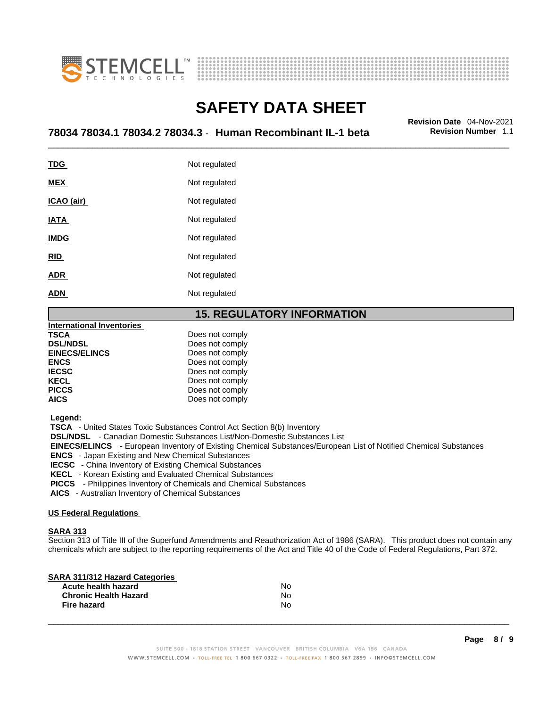



## \_\_\_\_\_\_\_\_\_\_\_\_\_\_\_\_\_\_\_\_\_\_\_\_\_\_\_\_\_\_\_\_\_\_\_\_\_\_\_\_\_\_\_\_\_\_\_\_\_\_\_\_\_\_\_\_\_\_\_\_\_\_\_\_\_\_\_\_\_\_\_\_\_\_\_\_\_\_\_\_\_\_\_\_\_\_\_\_\_\_\_\_\_ **Revision Date** 04-Nov-2021 **78034 78034.1 78034.2 78034.3** - **Human Recombinant IL-1 beta Revision Number** 1.1

| <u>TDG</u>  | Not regulated |
|-------------|---------------|
| <b>MEX</b>  | Not regulated |
| ICAO (air)  | Not regulated |
| IATA        | Not regulated |
| <b>IMDG</b> | Not regulated |
| <b>RID</b>  | Not regulated |
| <b>ADR</b>  | Not regulated |
| <b>ADN</b>  | Not regulated |
|             |               |

### **15. REGULATORY INFORMATION**

| <b>International Inventories</b> |                 |  |
|----------------------------------|-----------------|--|
| TSCA                             | Does not comply |  |
| <b>DSL/NDSL</b>                  | Does not comply |  |
| <b>EINECS/ELINCS</b>             | Does not comply |  |
| <b>ENCS</b>                      | Does not comply |  |
| <b>IECSC</b>                     | Does not comply |  |
| <b>KECL</b>                      | Does not comply |  |
| <b>PICCS</b>                     | Does not comply |  |
| AICS                             | Does not comply |  |

 **Legend:** 

 **TSCA** - United States Toxic Substances Control Act Section 8(b) Inventory

 **DSL/NDSL** - Canadian Domestic Substances List/Non-Domestic Substances List

 **EINECS/ELINCS** - European Inventory of Existing Chemical Substances/European List of Notified Chemical Substances

 **ENCS** - Japan Existing and New Chemical Substances

 **IECSC** - China Inventory of Existing Chemical Substances

 **KECL** - Korean Existing and Evaluated Chemical Substances

 **PICCS** - Philippines Inventory of Chemicals and Chemical Substances

 **AICS** - Australian Inventory of Chemical Substances

#### **US Federal Regulations**

#### **SARA 313**

Section 313 of Title III of the Superfund Amendments and Reauthorization Act of 1986 (SARA). This product does not contain any chemicals which are subject to the reporting requirements of the Act and Title 40 of the Code of Federal Regulations, Part 372.

| N٥ |  |
|----|--|
| Nο |  |
| Nο |  |
|    |  |